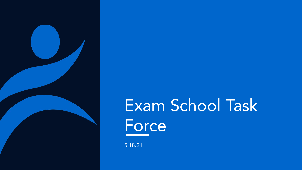

# Exam School Task **Force**

5.18.21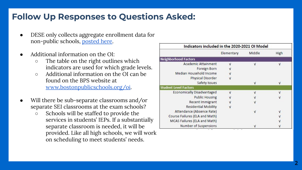# **Follow Up Responses to Questions Asked:**

- DESE only collects aggregate enrollment data for non-public schools, [posted here.](https://profiles.doe.mass.edu/statereport/nonpublicschoolreport.aspx)
- Additional information on the OI:
	- The table on the right outlines which indicators are used for which grade levels.
	- Additional information on the OI can be found on the BPS website at [www.bostonpublicschools.org/oi](http://www.bostonpublicschools.org/oi).
- Will there be sub-separate classrooms and/or separate SEI classrooms at the exam schools?
	- Schools will be staffed to provide the services in students' IEPs. If a substantially separate classroom is needed, it will be provided. Like all high schools, we will work on scheduling to meet students' needs.

| Indicators included in the 2020-2021 OI Model |              |        |            |  |  |  |  |
|-----------------------------------------------|--------------|--------|------------|--|--|--|--|
|                                               | Elementary   | Middle | High       |  |  |  |  |
| <b>Neighborhood Factors</b>                   |              |        |            |  |  |  |  |
| Academic Attainment                           | $\sqrt{ }$   | ν      | ν          |  |  |  |  |
| Foreign Born                                  |              |        |            |  |  |  |  |
| Median Household Income                       | ν            |        |            |  |  |  |  |
| <b>Physical Disorder</b>                      | $\sqrt{ }$   |        |            |  |  |  |  |
| Safety Issues                                 |              | ν      | ν          |  |  |  |  |
| <b>Student Level Factors</b>                  |              |        |            |  |  |  |  |
| <b>Economically Disadvantaged</b>             | $\mathbf{v}$ | ν      | ν          |  |  |  |  |
| <b>Public Housing</b>                         |              |        | ν          |  |  |  |  |
| Recent Immigrant                              |              | ν      |            |  |  |  |  |
| <b>Residential Mobility</b>                   | $\sqrt{ }$   |        |            |  |  |  |  |
| Attendance (Absence Rate)                     |              | V      | ν          |  |  |  |  |
| Course Failures (ELA and Math)                |              |        | ν          |  |  |  |  |
| <b>MCAS Failures (ELA and Math)</b>           |              |        | $\sqrt{ }$ |  |  |  |  |
| Number of Suspensions                         |              | ν      |            |  |  |  |  |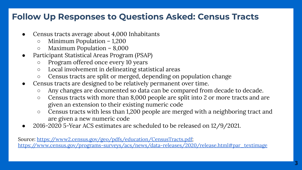# **Follow Up Responses to Questions Asked: Census Tracts**

- Census tracts average about 4,000 Inhabitants
	- Minimum Population 1,200
	- Maximum Population 8,000
- Participant Statistical Areas Program (PSAP)
	- Program offered once every 10 years
	- Local involvement in delineating statistical areas
	- Census tracts are split or merged, depending on population change
- Census tracts are designed to be relatively permanent over time.
	- Any changes are documented so data can be compared from decade to decade.
	- Census tracts with more than 8,000 people are split into 2 or more tracts and are given an extension to their existing numeric code
	- Census tracts with less than 1,200 people are merged with a neighboring tract and are given a new numeric code
- 2016-2020 5-Year ACS estimates are scheduled to be released on 12/9/2021.

Source: <https://www2.census.gov/geo/pdfs/education/CensusTracts.pdf>; [https://www.census.gov/programs-surveys/acs/news/data-releases/2020/release.html#par\\_textimage](https://www.census.gov/programs-surveys/acs/news/data-releases/2020/release.html#par_textimage)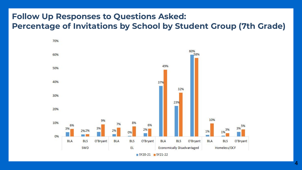### **Follow Up Responses to Questions Asked: Percentage of Invitations by School by Student Group (7th Grade)**

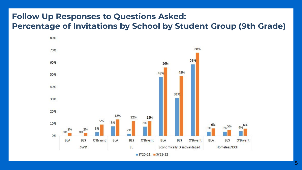### **Follow Up Responses to Questions Asked: Percentage of Invitations by School by Student Group (9th Grade)**



 $SY20-21$   $SY21-22$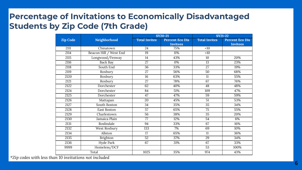## **Percentage of Invitations to Economically Disadvantaged Students by Zip Code (7th Grade)**

|                 |                        |                      | <b>SY20-21</b>                            | <b>SY21-22</b>       |                                           |  |
|-----------------|------------------------|----------------------|-------------------------------------------|----------------------|-------------------------------------------|--|
| <b>Zip Code</b> | Neighborhood           | <b>Total Invites</b> | <b>Percent Eco Dis</b><br><b>Invitees</b> | <b>Total Invites</b> | <b>Percent Eco Dis</b><br><b>Invitees</b> |  |
| 2111            | Chinatown              | 24                   | 75%                                       | <10                  |                                           |  |
| 2114            | Beacon Hill / West End | 19                   | 11%                                       | <10                  |                                           |  |
| 2115            | Longwood/Fenway        | 14                   | 43%                                       | 10                   | 20%                                       |  |
| 2116            | <b>Back Bay</b>        | 27                   | 0%                                        | 13                   | 23%                                       |  |
| 2118            | South End              | 36                   | 33%                                       | 27                   | 19%                                       |  |
| 2119            | Roxbury                | $\overline{27}$      | 56%                                       | 50                   | 68%                                       |  |
| 2120            | Roxbury                | $\overline{16}$      | 63%                                       | 11                   | 55%                                       |  |
| 2121            | Roxbury                | $\overline{27}$      | 78%                                       | 67                   | 76%                                       |  |
| 2122            | Dorchester             | 62                   | 40%                                       | 48                   | 48%                                       |  |
| 2124            | Dorchester             | 84                   | 51%                                       | 109                  | 47%                                       |  |
| 2125            | Dorchester             | 47                   | 47%                                       | 59                   | 59%                                       |  |
| 2126            | Mattapan               | 20                   | 45%                                       | 51                   | 53%                                       |  |
| 2127            | South Boston           | 34                   | 35%                                       | $\overline{35}$      | 34%                                       |  |
| 2128            | <b>East Boston</b>     | 57                   | 65%                                       | 75                   | 55%                                       |  |
| 2129            | Charlestown            | 56                   | 38%                                       | 35                   | 20%                                       |  |
| 2130            | Jamaica Plain          | 77                   | 12%                                       | 54                   | 6%                                        |  |
| 2131            | Roslindale             | 94                   | 33%                                       | 67                   | 16%                                       |  |
| 2132            | West Roxbury           | 133                  | 7%                                        | 69                   | 10%                                       |  |
| 2134            | Allston                | $\overline{17}$      | 65%                                       | 11                   | 36%                                       |  |
| 2135            | Brighton               | 52                   | 37%                                       | 29                   | 34%                                       |  |
| 2136            | <b>Hyde Park</b>       | 67                   | 31%                                       | 67                   | 33%                                       |  |
| 9999            | Homeless/DCF           |                      |                                           | 53                   | 100%                                      |  |
|                 | Total                  | 1025                 | 35%                                       | 974                  | 43%                                       |  |

*\*Zip codes with less than 10 invitations not included*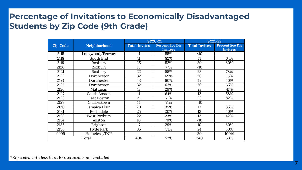### **Percentage of Invitations to Economically Disadvantaged Students by Zip Code (9th Grade)**

|                 |                 |                      | <b>SY20-21</b>         | <b>SY21-22</b>       |                        |  |
|-----------------|-----------------|----------------------|------------------------|----------------------|------------------------|--|
| <b>Zip Code</b> | Neighborhood    | <b>Total Invites</b> | <b>Percent Eco Dis</b> | <b>Total Invites</b> | <b>Percent Eco Dis</b> |  |
|                 |                 |                      | <b>Invitees</b>        |                      | <b>Invitees</b>        |  |
| 2115            | Longwood/Fenway | 11                   | 55%                    | <10                  |                        |  |
| 2118            | South End       | 11                   | 82%                    | 11                   | 64%                    |  |
| 2119            | Roxbury         | 25                   | 52%                    | 20                   | 80%                    |  |
| 2120            | Roxbury         | 13                   | 77%                    | <10                  |                        |  |
| 2121            | Roxbury         | 22                   | 55%                    | 23                   | 78%                    |  |
| 2122            | Dorchester      | 32                   | 69%                    | 20                   | 75%                    |  |
| 2124            | Dorchester      | 43                   | 60%                    | 42                   | 50%                    |  |
| 2125            | Dorchester      | 32                   | 63%                    | 20                   | 65%                    |  |
| 2126            | Mattapan        | 17                   | 29%                    | 27                   | 41%                    |  |
| 2127            | South Boston    | 11                   | 64%                    | 12                   | 58%                    |  |
| 2128            | East Boston     | 21                   | 71%                    | 28                   | 82%                    |  |
| 2129            | Charlestown     | 14                   | 71%                    | <10                  |                        |  |
| 2130            | Jamaica Plain   | 20                   | 35%                    | 17                   | 35%                    |  |
| 2131            | Roslindale      | 25                   | 20%                    | 18                   | 50%                    |  |
| 2132            | West Roxbury    | 22                   | 23%                    | 12                   | 42%                    |  |
| 2134            | Allston         | 10                   | 70%                    | <10                  |                        |  |
| 2135            | <b>Brighton</b> | 17                   | 29%                    | 10                   | 80%                    |  |
| 2136            | Hyde Park       | 35                   | 31%                    | 24                   | 50%                    |  |
| 9999            | Homeless/DCF    |                      |                        | 20                   | 100%                   |  |
|                 | Total           | 406                  | 52%                    | 340                  | 63%                    |  |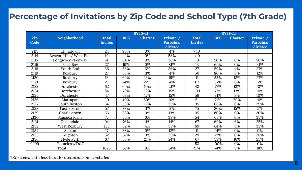#### **Percentage of Invitations by Zip Code and School Type (7th Grade)**

|             |                           | <b>SY20-21</b>                 |            |                | <b>SY21-22</b>                                |                                |            |                |                                                        |
|-------------|---------------------------|--------------------------------|------------|----------------|-----------------------------------------------|--------------------------------|------------|----------------|--------------------------------------------------------|
| Zip<br>Code | Neighborhood              | <b>Total</b><br><b>Invites</b> | <b>BPS</b> | <b>Charter</b> | Private /<br><b>Parochial</b><br><b>Metco</b> | <b>Total</b><br><b>Invites</b> | <b>BPS</b> | <b>Charter</b> | Private $\sqrt{ }$<br><b>Parochial</b><br><b>Metco</b> |
| 2111        | Chinatown                 | 24                             | 96%        | 0%             | 4%                                            | <10                            |            |                |                                                        |
| 2114        | West End<br>Beacon Hill / | 19                             | 42%        | 0%             | 58%                                           | <10                            |            |                |                                                        |
| 2115        | Longwood/Fenway           | 14                             | 64%        | 0%             | 36%                                           | 10                             | 50%        | 0%             | 50%                                                    |
| 2116        | Back Bay                  | $\overline{27}$                | 19%        | 0%             | 81%                                           | 13                             | 69%        | 0%             | 31%                                                    |
| 2118        | South End                 | 36                             | 58%        | 6%             | 36%                                           | 27                             | 59%        | 4%             | 37%                                                    |
| 2119        | Roxbury                   | 27                             | 85%        | 11%            | 4%                                            | 50                             | 80%        | 8%             | 12%                                                    |
| 2120        | Roxbury                   | 16                             | 69%        | 13%            | 19%                                           | 11                             | 55%        | 18%            | 27%                                                    |
| 2121        | Roxbury                   | $\overline{27}$                | 74%        | 22%            | 4%                                            | 67                             | 87%        | 6%             | 7%                                                     |
| 2122        | Dorchester                | 62                             | 69%        | 10%            | 21%                                           | 48                             | 77%        | 13%            | 10%                                                    |
| 2124        | Dorchester                | 84                             | 73%        | 12%            | 15%                                           | 109                            | 77%        | 13%            | 10%                                                    |
| 2125        | Dorchester                | 47                             | 68%        | 17%            | 15%                                           | 59                             | 81%        | 8%             | 10%                                                    |
| 2126        | Mattapan                  | 20                             | 40%        | 50%            | 10%                                           | 51                             | 71%        | 20%            | 10%                                                    |
| 2127        | South Boston              | 34                             | 53%        | 12%            | 35%                                           | 35                             | 66%        | 6%             | 29%                                                    |
| 2128        | East Boston               | $\overline{57}$                | 88%        | 11%            | 2%                                            | 75                             | 80%        | 15%            | 5%                                                     |
| 2129        | Charlestown               | 56                             | 88%        | 0%             | 13%                                           | 35                             | 80%        | 0%             | 20%                                                    |
| 2130        | Jamaica Plain             | 77                             | 56%        | 6%             | 38%                                           | 54                             | 65%        | 0%             | 35%                                                    |
| 2131        | Roslindale                | 94                             | 76%        | 11%            | 14%                                           | 67                             | 69%        | 6%             | 25%                                                    |
| 2132        | West Roxbury              | 133                            | 62%        | 4%             | 35%                                           | 69                             | 64%        | 3%             | 33%                                                    |
| 2134        | Allston                   | 17                             | 88%        | 0%             | 12%                                           | 11                             | 91%        | 0%             | 9%                                                     |
| 2135        | <b>Brighton</b>           | 52                             | 67%        | 0%             | 33%                                           | 29                             | 72%        | 0%             | 28%                                                    |
| 2136        | Hyde Park                 | 67                             | 55%        | 21%            | 24%                                           | 67                             | 58%        | 16%            | 25%                                                    |
| 9999        | Homeless/DCF              |                                |            |                |                                               | 53                             | 100%       | 0%             | 0%                                                     |
|             | Total                     | 1025                           | 67%        | 9%             | 24%                                           | 974                            | 74%        | 8%             | 18%                                                    |

*\*Zip codes with less than 10 invitations not included*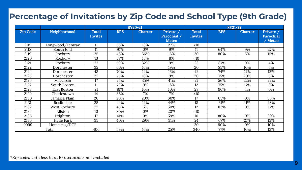### **Percentage of Invitations by Zip Code and School Type (9th Grade)**

|                 |                 | $SY20-21$                      |            |                | <b>SY21-22</b>                           |                                |            |                |                                          |
|-----------------|-----------------|--------------------------------|------------|----------------|------------------------------------------|--------------------------------|------------|----------------|------------------------------------------|
| <b>Zip Code</b> | Neighborhood    | <b>Total</b><br><b>Invites</b> | <b>BPS</b> | <b>Charter</b> | Private /<br>Parochial /<br><b>Metco</b> | <b>Total</b><br><b>Invites</b> | <b>BPS</b> | <b>Charter</b> | Private /<br><b>Parochial</b><br>' Metco |
| 2115            | Longwood/Fenway | 11                             | 55%        | 18%            | 27%                                      | <10                            |            |                |                                          |
| 2118            | South End       | 11                             | 91%        | 0%             | 9%                                       | 11                             | 64%        | 9%             | 27%                                      |
| 2119            | Roxbury         | 25                             | 48%        | 36%            | 16%                                      | 20                             | 80%        | 5%             | 15%                                      |
| 2120            | Roxbury         | 13                             | 77%        | 15%            | 8%                                       | <10                            |            |                |                                          |
| 2121            | Roxbury         | 22                             | 59%        | 32%            | 9%                                       | 23                             | 87%        | 9%             | 4%                                       |
| 2122            | Dorchester      | 32                             | 66%        | 16%            | 19%                                      | 20                             | 85%        | 10%            | 5%                                       |
| 2124            | Dorchester      | 43                             | 70%        | 14%            | 16%                                      | 42                             | 74%        | 14%            | 12%                                      |
| 2125            | Dorchester      | 32                             | 75%        | 16%            | 9%                                       | 20                             | 75%        | 20%            | 5%                                       |
| 2126            | Mattapan        | 17                             | 24%        | 35%            | 41%                                      | 27                             | 56%        | 22%            | 22%                                      |
| 2127            | South Boston    | 11                             | 73%        | 9%             | 18%                                      | 12                             | 75%        | 17%            | 8%                                       |
| 2128            | East Boston     | 21                             | 81%        | 10%            | 10%                                      | 28                             | 96%        | 4%             | 0%                                       |
| 2129            | Charlestown     | 14                             | 86%        | 7%             | 7%                                       | <10                            |            |                |                                          |
| 2130            | Jamaica Plain   | 20                             | 20%        | 20%            | 60%                                      | 17                             | 65%        | 0%             | 35%                                      |
| 2131            | Roslindale      | 25                             | 44%        | 12%            | 44%                                      | 18                             | 61%        | 11%            | 28%                                      |
| 2132            | West Roxbury    | 22                             | 45%        | 5%             | 50%                                      | 12                             | 83%        | 0%             | 17%                                      |
| 2134            | Allston         | 10                             | 80%        | 0%             | 20%                                      | <10                            |            |                |                                          |
| 2135            | <b>Brighton</b> | 17                             | 41%        | 0%             | 59%                                      | 10                             | 80%        | 0%             | 20%                                      |
| 2136            | Hyde Park       | 35                             | 40%        | 29%            | 31%                                      | 24                             | 67%        | 21%            | 13%                                      |
| 9999            | Homeless/DCF    |                                |            |                |                                          | 20                             | 90%        | 0%             | 10%                                      |
|                 | Total           | 406                            | 59%        | 16%            | 25%                                      | 340                            | 77%        | 10%            | 13%                                      |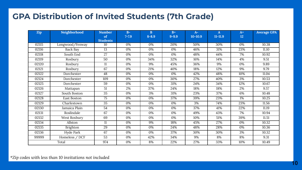#### **GPA Distribution of Invited Students (7th Grade)**

| <b>Zip</b> | Neighborhood    | <b>Number</b>         | $B-$      | B         | $B+$      | $A-$        | A           | $A+$ | <b>Average GPA</b> |
|------------|-----------------|-----------------------|-----------|-----------|-----------|-------------|-------------|------|--------------------|
|            |                 | of<br><b>Students</b> | $7 - 7.9$ | $8 - 8.9$ | $9 - 9.9$ | $10 - 10.9$ | $11 - 11.9$ | 12   |                    |
| 02115      | Longwood/Fenway | 10                    | 0%        | 0%        | 20%       | 50%         | 30%         | 0%   | 10.38              |
| 02116      | Back Bay        | 13                    | 0%        | 0%        | 0%        | 46%         | 31%         | 23%  | 11.10              |
| 02118      | South End       | 27                    | 0%        | 0%        | 0%        | 48%         | 44%         | 7%   | 10.92              |
| 02119      | Roxbury         | 50                    | 0%        | 34%       | 32%       | 16%         | 14%         | 4%   | 9.51               |
| 02120      | Roxbury         | 11                    | 0%        | 9%        | 45%       | 36%         | 9%          | 0%   | 9.89               |
| 02121      | Roxbury         | 67                    | 0%        | 21%       | 40%       | 18%         | 12%         | 9%   | 9.79               |
| 02122      | Dorchester      | 48                    | 0%        | 0%        | 0%        | 42%         | 48%         | 10%  | 11.04              |
| 02124      | Dorchester      | 109                   | 0%        | 0%        | 30%       | 27%         | 40%         | 3%   | 10.53              |
| 02125      | Dorchester      | 59                    | 0%        | 0%        | 31%       | 24%         | 34%         | 12%  | 10.67              |
| 02126      | Mattapan        | 51                    | 2%        | 37%       | 24%       | 18%         | 18%         | 2%   | 9.57               |
| 02127      | South Boston    | $\overline{35}$       | 0%        | 3%        | 31%       | 23%         | 37%         | 6%   | 10.48              |
| 02128      | East Boston     | 75                    | 0%        | 0%        | 37%       | 39%         | 23%         | 1%   | 10.25              |
| 02129      | Charlestown     | 35                    | 0%        | 0%        | 0%        | 3%          | 74%         | 23%  | 11.56              |
| 02130      | Jamaica Plain   | 54                    | 0%        | 0%        | 0%        | 37%         | 41%         | 22%  | 11.19              |
| 02131      | Roslindale      | 67                    | 0%        | 0%        | 0%        | 49%         | 43%         | 7%   | 10.94              |
| 02132      | West Roxbury    | 69                    | 0%        | 0%        | 0%        | 10%         | 51%         | 39%  | 11.51              |
| 02134      | Allston         | 11                    | 0%        | 9%        | 18%       | 45%         | 27%         | 0%   | 10.32              |
| 02135      | Brighton        | 29                    | 0%        | 0%        | 24%       | 48%         | 28%         | 0%   | 10.36              |
| 02136      | Hyde Park       | 67                    | 0%        | 0%        | 37%       | 30%         | 30%         | 3%   | 10.32              |
| 99999      | Homeless / DCF  | $\overline{53}$       | 0%        | 42%       | 34%       | 9%          | 8%          | 8%   | 9.31               |
|            | Total           | 974                   | 0%        | 8%        | 22%       | 27%         | 33%         | 10%  | 10.49              |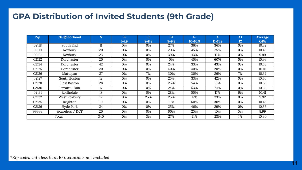#### **GPA Distribution of Invited Students (9th Grade)**

| <b>Zip</b> | Neighborhood   | N   | $B -$<br>$7 - 7.9$ | B<br>$8 - 8.9$ | $R+$<br>$9 - 9.9$ | $A-$<br>$10 - 10.9$ | A<br>$11 - 11.9$ | $A+$<br>12 | Average<br><b>GPA</b> |
|------------|----------------|-----|--------------------|----------------|-------------------|---------------------|------------------|------------|-----------------------|
| 02118      | South End      | 11  | 0%                 | 0%             | 27%               | 36%                 | 36%              | 0%         | 10.32                 |
| 02119      | Roxbury        | 20  | 0%                 | 0%             | 20%               | 45%                 | 35%              | 0%         | 10.43                 |
| 02121      | Roxbury        | 23  | 0%                 | 0%             | 39%               | 43%                 | 17%              | 0%         | 9.99                  |
| 02122      | Dorchester     | 20  | 0%                 | 0%             | 0%                | 40%                 | 60%              | 0%         | 10.93                 |
| 02124      | Dorchester     | 42  | 0%                 | 0%             | 24%               | 33%                 | 43%              | 0%         | 10.53                 |
| 02125      | Dorchester     | 20  | 0%                 | 0%             | 40%               | 40%                 | 20%              | 0%         | 10.16                 |
| 02126      | Mattapan       | 27  | 0%                 | 7%             | 30%               | 30%                 | 26%              | 7%         | 10.32                 |
| 02127      | South Boston   | 12  | 0%                 | 0%             | 25%               | 33%                 | 42%              | 0%         | 10.40                 |
| 02128      | East Boston    | 28  | 0%                 | 0%             | 25%               | 54%                 | 21%              | 0%         | 10.35                 |
| 02130      | Jamaica Plain  | 17  | 0%                 | 0%             | 24%               | 53%                 | 24%              | 0%         | 10.39                 |
| 02131      | Roslindale     | 18  | 0%                 | 0%             | 28%               | 50%                 | 17%              | 6%         | 10.41                 |
| 02132      | West Roxbury   | 12  | 0%                 | 25%            | 25%               | 17%                 | 33%              | 0%         | 9.92                  |
| 02135      | Brighton       | 10  | 0%                 | 0%             | 10%               | 60%                 | 30%              | 0%         | 10.45                 |
| 02136      | Hyde Park      | 24  | 0%                 | 0%             | 25%               | 46%                 | 29%              | 0%         | 10.36                 |
| 99999      | Homeless / DCF | 20  | 0%                 | 0%             | 60%               | 25%                 | 10%              | 5%         | 9.99                  |
|            | Total          | 340 | 0%                 | 3%             | 27%               | 41%                 | 28%              | 1%         | 10.30                 |

**11**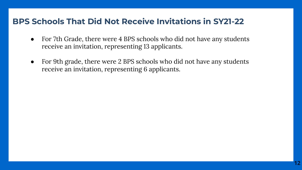#### **BPS Schools That Did Not Receive Invitations in SY21-22**

- For 7th Grade, there were 4 BPS schools who did not have any students receive an invitation, representing 13 applicants.
- For 9th grade, there were 2 BPS schools who did not have any students receive an invitation, representing 6 applicants.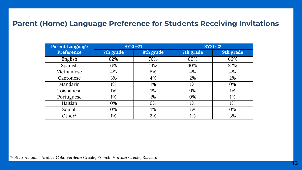#### **Parent (Home) Language Preference for Students Receiving Invitations**

| <b>Parent Language</b> |           | <b>SY20-21</b> | <b>SY21-22</b> |           |  |  |
|------------------------|-----------|----------------|----------------|-----------|--|--|
| Preference             | 7th grade | 9th grade      | 7th grade      | 9th grade |  |  |
| English                | 82%       | 70%            | 80%            | 66%       |  |  |
| Spanish                | 6%        | 14%            | 10%            | 22%       |  |  |
| Vietnamese             | 4%        | 5%             | 4%             | 4%        |  |  |
| Cantonese              | 3%        | 4%             | 2%             | 2%        |  |  |
| Mandarin               | 1%        | 1%             | 1%             | 0%        |  |  |
| Toishanese             | 1%        | 1%             | 0%             | 1%        |  |  |
| Portuguese             | 1%        | 1%             | 0%             | 1%        |  |  |
| Haitian                | 0%        | 0%             | 1%             | 1%        |  |  |
| Somali                 | 0%        | 1%             | 1%             | 0%        |  |  |
| Other*                 | 1%        | 2%             | 1%             | 3%        |  |  |

*\*Other includes Arabic, Cabo Verdean Creole, French, Haitian Creole, Russian*